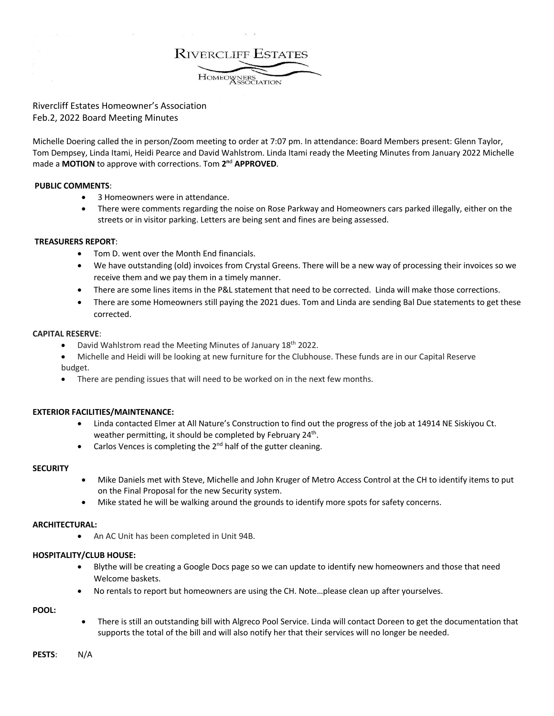**RIVERCLIFF ESTATES** HOMEOWNERS

# Rivercliff Estates Homeowner's Association Feb.2, 2022 Board Meeting Minutes

Michelle Doering called the in person/Zoom meeting to order at 7:07 pm. In attendance: Board Members present: Glenn Taylor, Tom Dempsey, Linda Itami, Heidi Pearce and David Wahlstrom. Linda Itami ready the Meeting Minutes from January 2022 Michelle made a **MOTION** to approve with corrections. Tom **2n**<sup>d</sup> **APPROVED**.

### **PUBLIC COMMENTS**:

- 3 Homeowners were in attendance.
- There were comments regarding the noise on Rose Parkway and Homeowners cars parked illegally, either on the streets or in visitor parking. Letters are being sent and fines are being assessed.

## **TREASURERS REPORT**:

- Tom D. went over the Month End financials.
- We have outstanding (old) invoices from Crystal Greens. There will be a new way of processing their invoices so we receive them and we pay them in a timely manner.
- There are some lines items in the P&L statement that need to be corrected. Linda will make those corrections.
- There are some Homeowners still paying the 2021 dues. Tom and Linda are sending Bal Due statements to get these corrected.

### **CAPITAL RESERVE**:

• David Wahlstrom read the Meeting Minutes of January  $18<sup>th</sup>$  2022.

• Michelle and Heidi will be looking at new furniture for the Clubhouse. These funds are in our Capital Reserve budget.

There are pending issues that will need to be worked on in the next few months.

### **EXTERIOR FACILITIES/MAINTENANCE:**

- Linda contacted Elmer at All Nature's Construction to find out the progress of the job at 14914 NE Siskiyou Ct. weather permitting, it should be completed by February 24<sup>th</sup>.
- Carlos Vences is completing the  $2^{nd}$  half of the gutter cleaning.

### **SECURITY**

- Mike Daniels met with Steve, Michelle and John Kruger of Metro Access Control at the CH to identify items to put on the Final Proposal for the new Security system.
- Mike stated he will be walking around the grounds to identify more spots for safety concerns.

### **ARCHITECTURAL:**

• An AC Unit has been completed in Unit 94B.

### **HOSPITALITY/CLUB HOUSE:**

- Blythe will be creating a Google Docs page so we can update to identify new homeowners and those that need Welcome baskets.
- No rentals to report but homeowners are using the CH. Note…please clean up after yourselves.

### **POOL:**

• There is still an outstanding bill with Algreco Pool Service. Linda will contact Doreen to get the documentation that supports the total of the bill and will also notify her that their services will no longer be needed.

**PESTS**: N/A